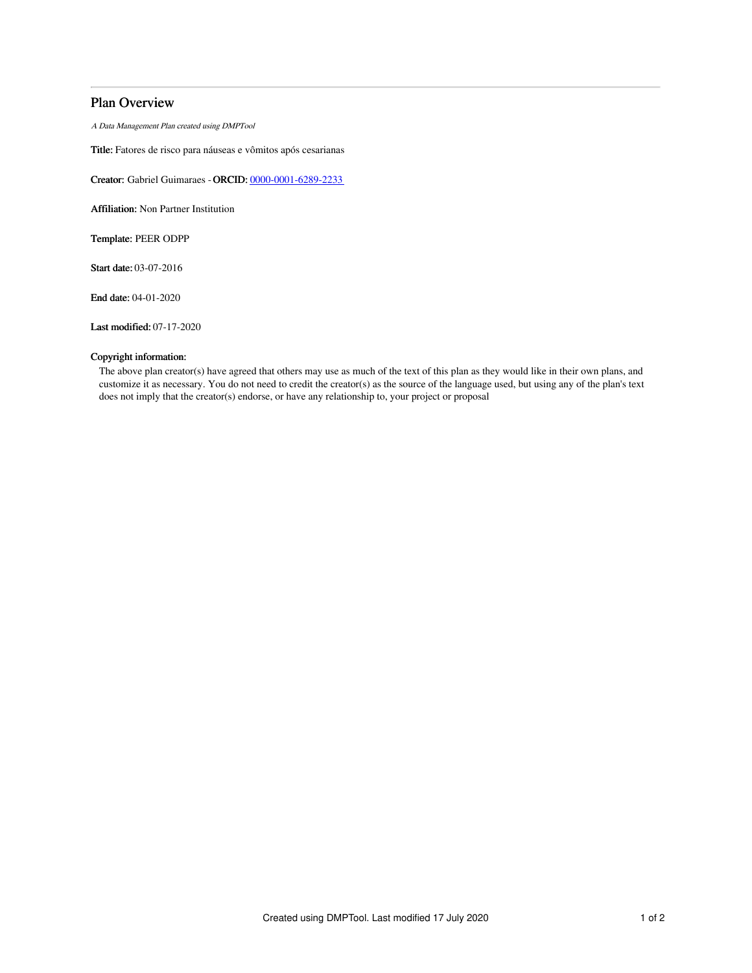### Plan Overview

A Data Management Plan created using DMPTool

Title: Fatores de risco para náuseas e vômitos após cesarianas

Creator: Gabriel Guimaraes -ORCID: [0000-0001-6289-2233](https://orcid.org/0000-0001-6289-2233)

Affiliation: Non Partner Institution

Template: PEER ODPP

Start date: 03-07-2016

End date: 04-01-2020

Last modified: 07-17-2020

#### Copyright information:

The above plan creator(s) have agreed that others may use as much of the text of this plan as they would like in their own plans, and customize it as necessary. You do not need to credit the creator(s) as the source of the language used, but using any of the plan's text does not imply that the creator(s) endorse, or have any relationship to, your project or proposal